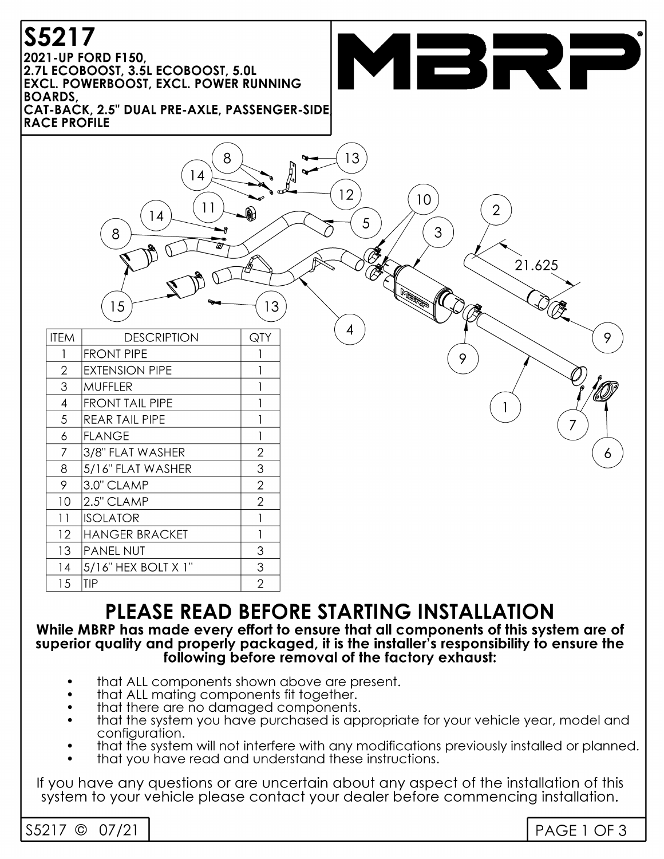# S5217

2021-UP FORD F150. 2.7L ECOBOOST, 3.5L ECOBOOST, 5.0L **EXCL. POWERBOOST, EXCL. POWER RUNNING BOARDS** 

**RACE PROFILE** 



## PLEASE READ BEFORE STARTING INSTALLATION

#### While MBRP has made every effort to ensure that all components of this system are of superior quality and properly packaged, it is the installer's responsibility to ensure the following before removal of the factory exhaust:

- that ALL components shown above are present.
- that ALL mating components fit together.
- that there are no damaged components.
- that the system you have purchased is appropriate for your vehicle year, model and configuration.
- that the system will not interfere with any modifications previously installed or planned.
- that you have read and understand these instructions.

If you have any questions or are uncertain about any aspect of the installation of this system to your vehicle please contact your dealer before commencing installation.

| S5217 | $\sim$ | ,, |
|-------|--------|----|
|       |        |    |

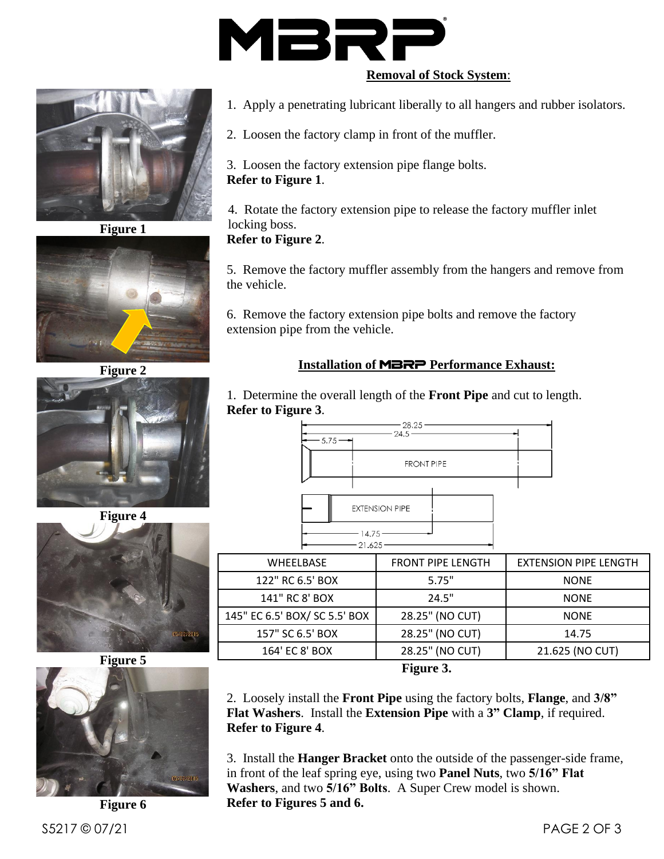

#### **Removal of Stock System**:



**Figure 1**



**Figure 2**



**Figure 4**



**Figure 5**



**Figure 6**

1. Apply a penetrating lubricant liberally to all hangers and rubber isolators.

2. Loosen the factory clamp in front of the muffler.

3. Loosen the factory extension pipe flange bolts. **Refer to Figure 1**.

4. Rotate the factory extension pipe to release the factory muffler inlet locking boss.

**Refer to Figure 2**.

5. Remove the factory muffler assembly from the hangers and remove from the vehicle.

6. Remove the factory extension pipe bolts and remove the factory extension pipe from the vehicle.

### **Installation of** MBRP **Performance Exhaust:**

1. Determine the overall length of the **Front Pipe** and cut to length. **Refer to Figure 3**.

| $-5.75 - -$ | $-28.25$<br>$-24.5 -$ |  |
|-------------|-----------------------|--|
|             | <b>FRONT PIPE</b>     |  |
|             | <b>EXTENSION PIPE</b> |  |
|             | $-14.75-$<br>21.625   |  |

| <b>WHEELBASE</b>              | <b>FRONT PIPE LENGTH</b> | <b>EXTENSION PIPE LENGTH</b> |  |  |
|-------------------------------|--------------------------|------------------------------|--|--|
| 122" RC 6.5' BOX              | 5.75"                    | <b>NONE</b>                  |  |  |
| 141" RC 8' BOX                | 24.5"                    | <b>NONE</b>                  |  |  |
| 145" EC 6.5' BOX/ SC 5.5' BOX | 28.25" (NO CUT)          | <b>NONE</b>                  |  |  |
| 157" SC 6.5' BOX              | 28.25" (NO CUT)          | 14.75                        |  |  |
| 164' EC 8' BOX                | 28.25" (NO CUT)          | 21.625 (NO CUT)              |  |  |
| $\Gamma$ icure 2              |                          |                              |  |  |

**Figure 3.**

2. Loosely install the **Front Pipe** using the factory bolts, **Flange**, and **3/8" Flat Washers**. Install the **Extension Pipe** with a **3" Clamp**, if required. **Refer to Figure 4**.

3. Install the **Hanger Bracket** onto the outside of the passenger-side frame, in front of the leaf spring eye, using two **Panel Nuts**, two **5/16" Flat Washers**, and two **5/16" Bolts**. A Super Crew model is shown. **Refer to Figures 5 and 6.**